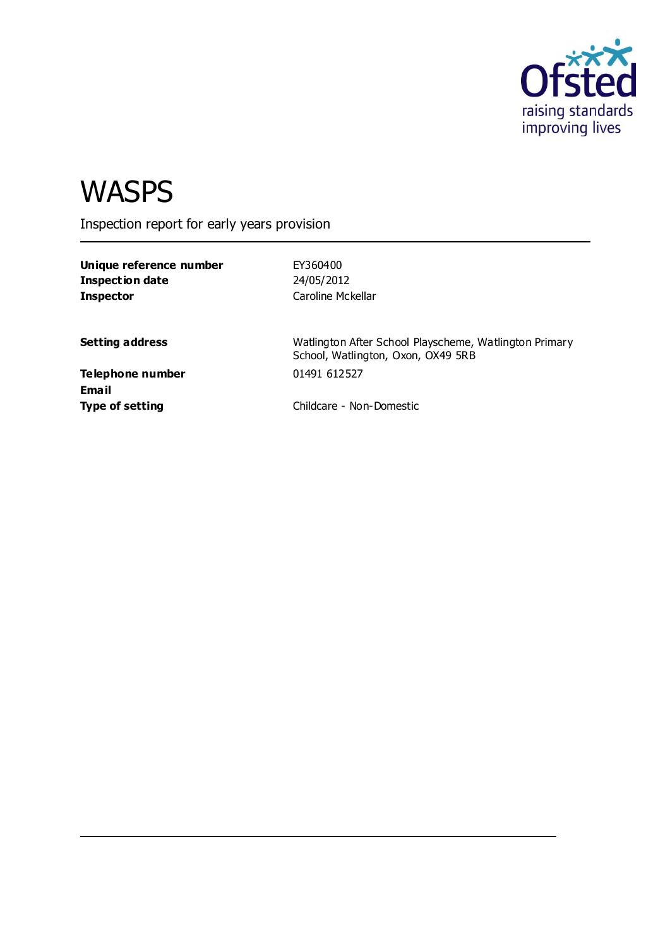

# **WASPS**

Inspection report for early years provision

**Unique reference number** EY360400 **Inspection date** 24/05/2012 **Inspector** Caroline Mckellar

**Setting address Setting address** Watlington After School Playscheme, Watlington Primary School, Watlington, Oxon, OX49 5RB

**Telephone number** 01491 612527 **Email**

**Type of setting** Childcare - Non-Domestic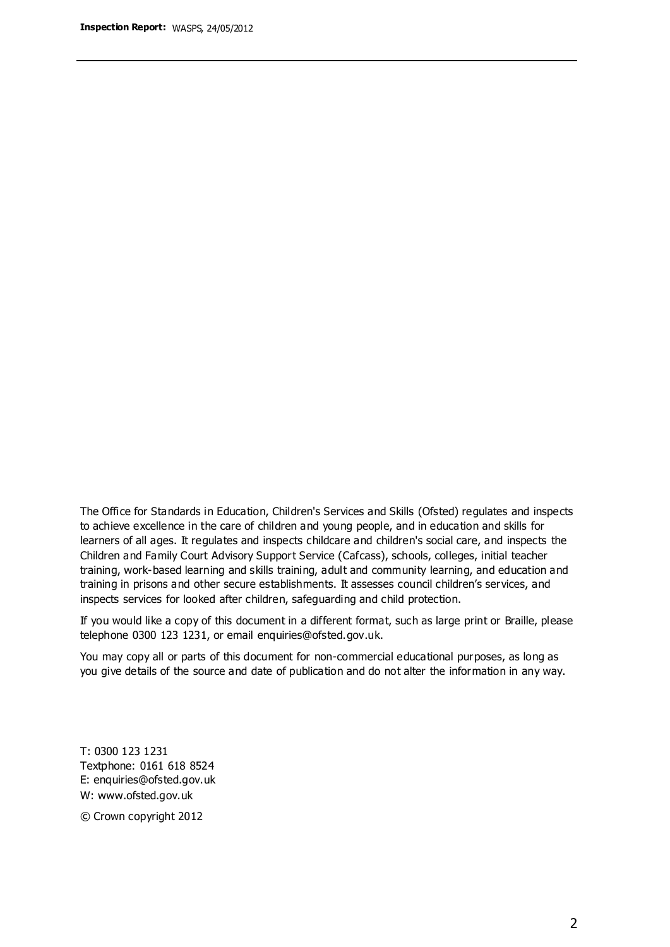The Office for Standards in Education, Children's Services and Skills (Ofsted) regulates and inspects to achieve excellence in the care of children and young people, and in education and skills for learners of all ages. It regulates and inspects childcare and children's social care, and inspects the Children and Family Court Advisory Support Service (Cafcass), schools, colleges, initial teacher training, work-based learning and skills training, adult and community learning, and education and training in prisons and other secure establishments. It assesses council children's services, and inspects services for looked after children, safeguarding and child protection.

If you would like a copy of this document in a different format, such as large print or Braille, please telephone 0300 123 1231, or email enquiries@ofsted.gov.uk.

You may copy all or parts of this document for non-commercial educational purposes, as long as you give details of the source and date of publication and do not alter the information in any way.

T: 0300 123 1231 Textphone: 0161 618 8524 E: enquiries@ofsted.gov.uk W: [www.ofsted.gov.uk](http://www.ofsted.gov.uk/)

© Crown copyright 2012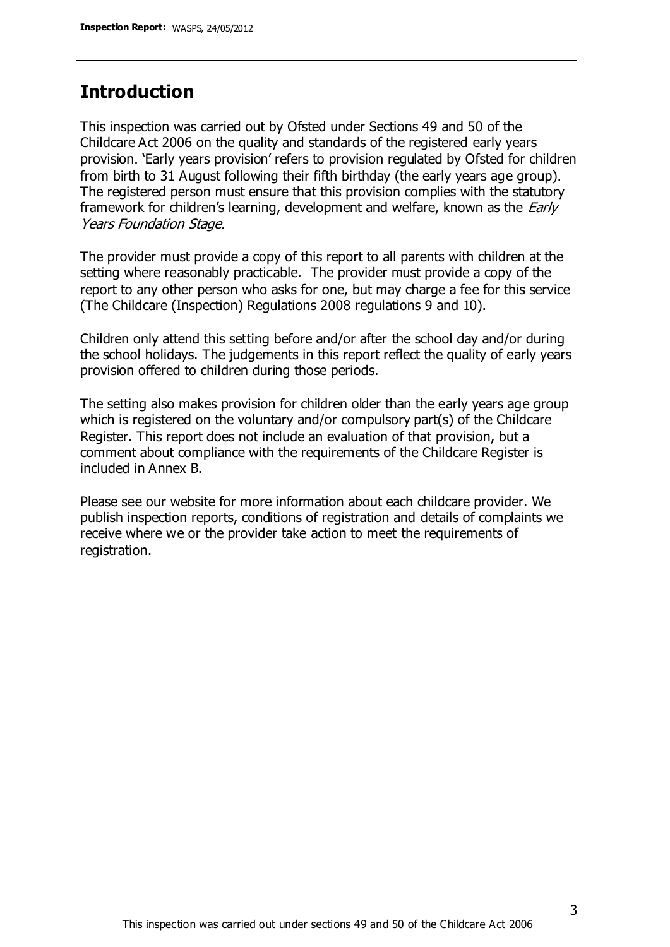#### **Introduction**

This inspection was carried out by Ofsted under Sections 49 and 50 of the Childcare Act 2006 on the quality and standards of the registered early years provision. 'Early years provision' refers to provision regulated by Ofsted for children from birth to 31 August following their fifth birthday (the early years age group). The registered person must ensure that this provision complies with the statutory framework for children's learning, development and welfare, known as the *Early* Years Foundation Stage.

The provider must provide a copy of this report to all parents with children at the setting where reasonably practicable. The provider must provide a copy of the report to any other person who asks for one, but may charge a fee for this service (The Childcare (Inspection) Regulations 2008 regulations 9 and 10).

Children only attend this setting before and/or after the school day and/or during the school holidays. The judgements in this report reflect the quality of early years provision offered to children during those periods.

The setting also makes provision for children older than the early years age group which is registered on the voluntary and/or compulsory part(s) of the Childcare Register. This report does not include an evaluation of that provision, but a comment about compliance with the requirements of the Childcare Register is included in Annex B.

Please see our website for more information about each childcare provider. We publish inspection reports, conditions of registration and details of complaints we receive where we or the provider take action to meet the requirements of registration.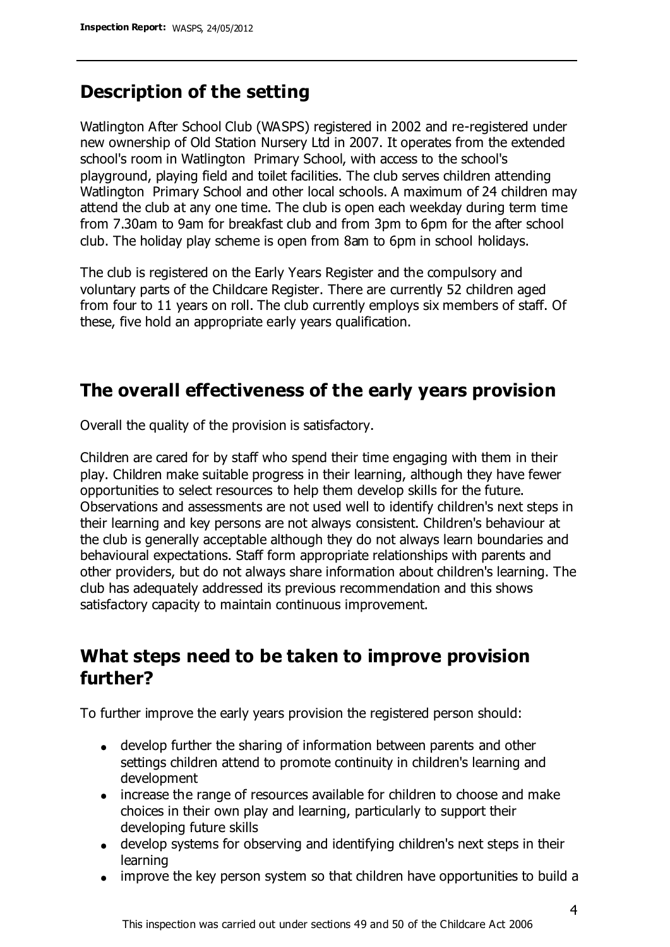#### **Description of the setting**

Watlington After School Club (WASPS) registered in 2002 and re-registered under new ownership of Old Station Nursery Ltd in 2007. It operates from the extended school's room in Watlington Primary School, with access to the school's playground, playing field and toilet facilities. The club serves children attending Watlington Primary School and other local schools. A maximum of 24 children may attend the club at any one time. The club is open each weekday during term time from 7.30am to 9am for breakfast club and from 3pm to 6pm for the after school club. The holiday play scheme is open from 8am to 6pm in school holidays.

The club is registered on the Early Years Register and the compulsory and voluntary parts of the Childcare Register. There are currently 52 children aged from four to 11 years on roll. The club currently employs six members of staff. Of these, five hold an appropriate early years qualification.

# **The overall effectiveness of the early years provision**

Overall the quality of the provision is satisfactory.

Children are cared for by staff who spend their time engaging with them in their play. Children make suitable progress in their learning, although they have fewer opportunities to select resources to help them develop skills for the future. Observations and assessments are not used well to identify children's next steps in their learning and key persons are not always consistent. Children's behaviour at the club is generally acceptable although they do not always learn boundaries and behavioural expectations. Staff form appropriate relationships with parents and other providers, but do not always share information about children's learning. The club has adequately addressed its previous recommendation and this shows satisfactory capacity to maintain continuous improvement.

# **What steps need to be taken to improve provision further?**

To further improve the early years provision the registered person should:

- develop further the sharing of information between parents and other settings children attend to promote continuity in children's learning and development
- increase the range of resources available for children to choose and make choices in their own play and learning, particularly to support their developing future skills
- develop systems for observing and identifying children's next steps in their learning
- improve the key person system so that children have opportunities to build a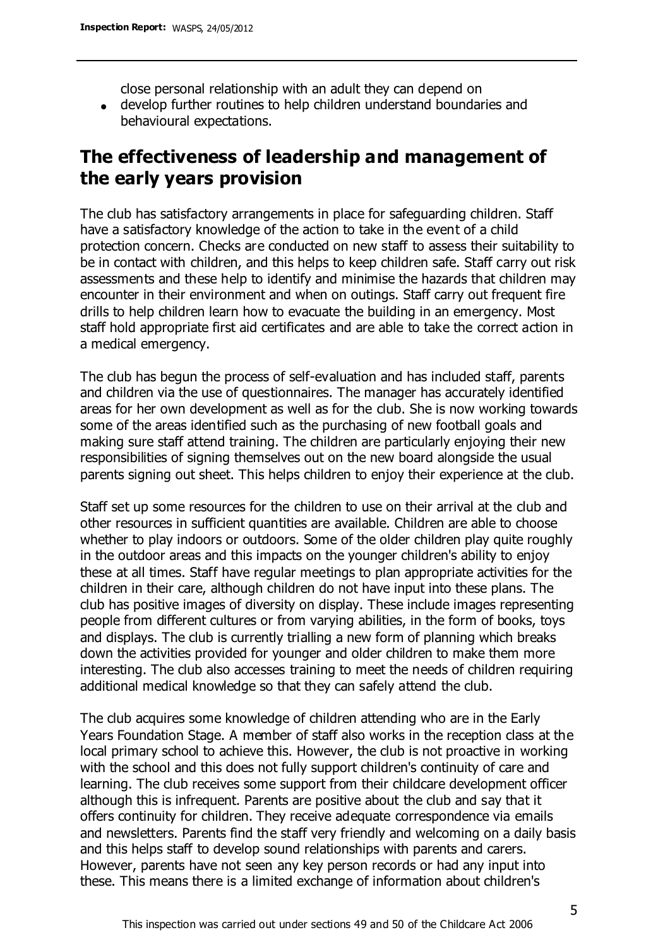close personal relationship with an adult they can depend on

develop further routines to help children understand boundaries and behavioural expectations.

# **The effectiveness of leadership and management of the early years provision**

The club has satisfactory arrangements in place for safeguarding children. Staff have a satisfactory knowledge of the action to take in the event of a child protection concern. Checks are conducted on new staff to assess their suitability to be in contact with children, and this helps to keep children safe. Staff carry out risk assessments and these help to identify and minimise the hazards that children may encounter in their environment and when on outings. Staff carry out frequent fire drills to help children learn how to evacuate the building in an emergency. Most staff hold appropriate first aid certificates and are able to take the correct action in a medical emergency.

The club has begun the process of self-evaluation and has included staff, parents and children via the use of questionnaires. The manager has accurately identified areas for her own development as well as for the club. She is now working towards some of the areas identified such as the purchasing of new football goals and making sure staff attend training. The children are particularly enjoying their new responsibilities of signing themselves out on the new board alongside the usual parents signing out sheet. This helps children to enjoy their experience at the club.

Staff set up some resources for the children to use on their arrival at the club and other resources in sufficient quantities are available. Children are able to choose whether to play indoors or outdoors. Some of the older children play quite roughly in the outdoor areas and this impacts on the younger children's ability to enjoy these at all times. Staff have regular meetings to plan appropriate activities for the children in their care, although children do not have input into these plans. The club has positive images of diversity on display. These include images representing people from different cultures or from varying abilities, in the form of books, toys and displays. The club is currently trialling a new form of planning which breaks down the activities provided for younger and older children to make them more interesting. The club also accesses training to meet the needs of children requiring additional medical knowledge so that they can safely attend the club.

The club acquires some knowledge of children attending who are in the Early Years Foundation Stage. A member of staff also works in the reception class at the local primary school to achieve this. However, the club is not proactive in working with the school and this does not fully support children's continuity of care and learning. The club receives some support from their childcare development officer although this is infrequent. Parents are positive about the club and say that it offers continuity for children. They receive adequate correspondence via emails and newsletters. Parents find the staff very friendly and welcoming on a daily basis and this helps staff to develop sound relationships with parents and carers. However, parents have not seen any key person records or had any input into these. This means there is a limited exchange of information about children's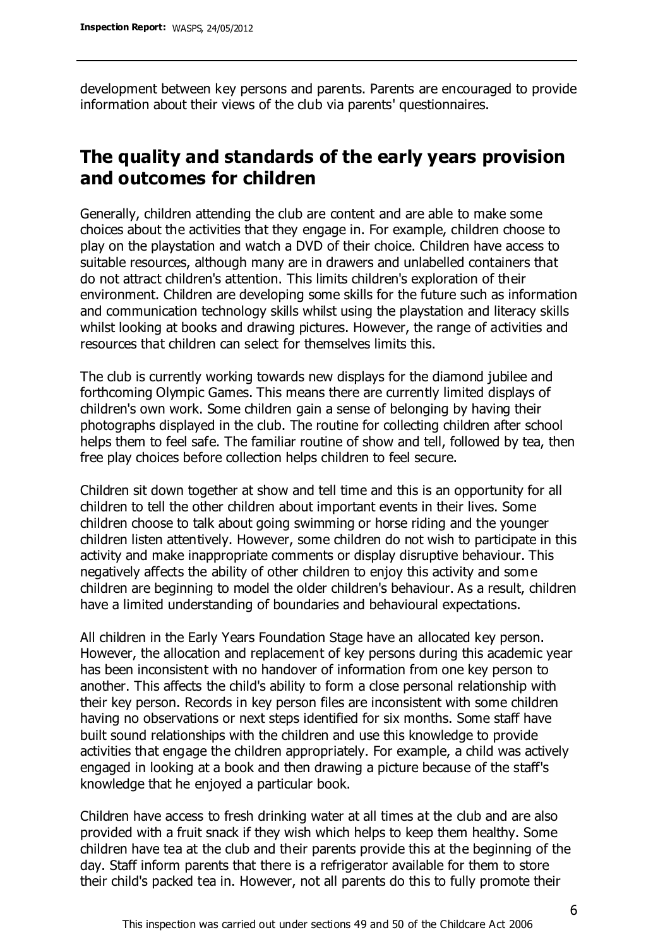development between key persons and parents. Parents are encouraged to provide information about their views of the club via parents' questionnaires.

# **The quality and standards of the early years provision and outcomes for children**

Generally, children attending the club are content and are able to make some choices about the activities that they engage in. For example, children choose to play on the playstation and watch a DVD of their choice. Children have access to suitable resources, although many are in drawers and unlabelled containers that do not attract children's attention. This limits children's exploration of their environment. Children are developing some skills for the future such as information and communication technology skills whilst using the playstation and literacy skills whilst looking at books and drawing pictures. However, the range of activities and resources that children can select for themselves limits this.

The club is currently working towards new displays for the diamond jubilee and forthcoming Olympic Games. This means there are currently limited displays of children's own work. Some children gain a sense of belonging by having their photographs displayed in the club. The routine for collecting children after school helps them to feel safe. The familiar routine of show and tell, followed by tea, then free play choices before collection helps children to feel secure.

Children sit down together at show and tell time and this is an opportunity for all children to tell the other children about important events in their lives. Some children choose to talk about going swimming or horse riding and the younger children listen attentively. However, some children do not wish to participate in this activity and make inappropriate comments or display disruptive behaviour. This negatively affects the ability of other children to enjoy this activity and some children are beginning to model the older children's behaviour. As a result, children have a limited understanding of boundaries and behavioural expectations.

All children in the Early Years Foundation Stage have an allocated key person. However, the allocation and replacement of key persons during this academic year has been inconsistent with no handover of information from one key person to another. This affects the child's ability to form a close personal relationship with their key person. Records in key person files are inconsistent with some children having no observations or next steps identified for six months. Some staff have built sound relationships with the children and use this knowledge to provide activities that engage the children appropriately. For example, a child was actively engaged in looking at a book and then drawing a picture because of the staff's knowledge that he enjoyed a particular book.

Children have access to fresh drinking water at all times at the club and are also provided with a fruit snack if they wish which helps to keep them healthy. Some children have tea at the club and their parents provide this at the beginning of the day. Staff inform parents that there is a refrigerator available for them to store their child's packed tea in. However, not all parents do this to fully promote their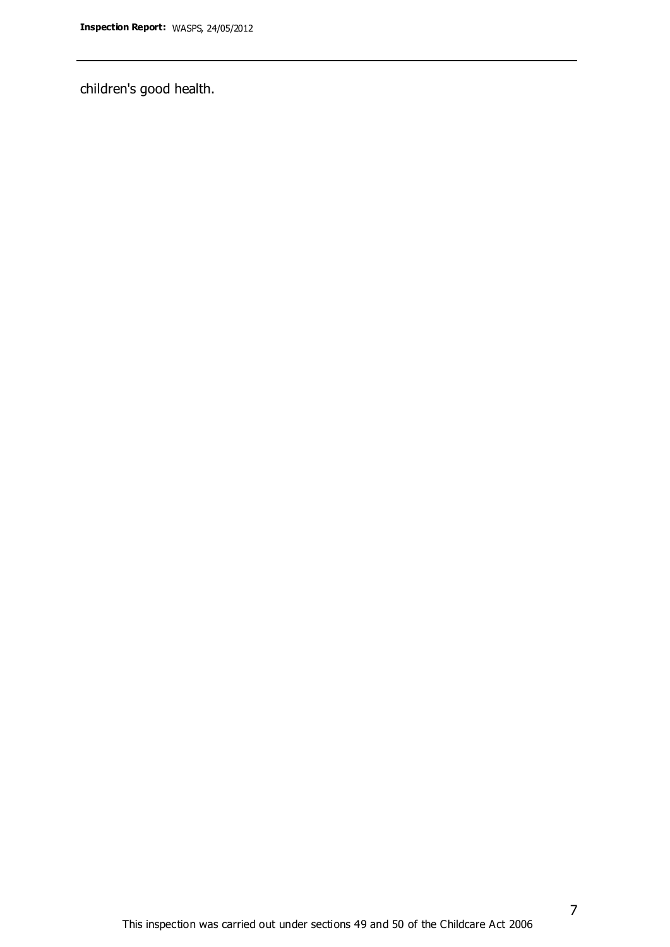children's good health.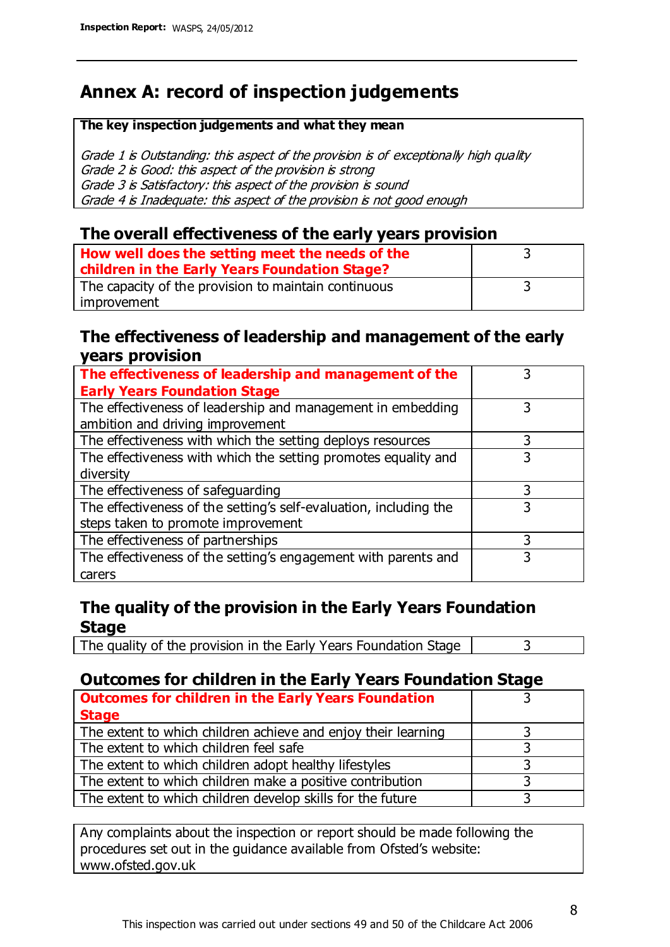# **Annex A: record of inspection judgements**

#### **The key inspection judgements and what they mean**

Grade 1 is Outstanding: this aspect of the provision is of exceptionally high quality Grade 2 is Good: this aspect of the provision is strong Grade 3 is Satisfactory: this aspect of the provision is sound Grade 4 is Inadequate: this aspect of the provision is not good enough

#### **The overall effectiveness of the early years provision**

| How well does the setting meet the needs of the      |  |
|------------------------------------------------------|--|
| children in the Early Years Foundation Stage?        |  |
| The capacity of the provision to maintain continuous |  |
| improvement                                          |  |

#### **The effectiveness of leadership and management of the early years provision**

| The effectiveness of leadership and management of the             |   |
|-------------------------------------------------------------------|---|
| <b>Early Years Foundation Stage</b>                               |   |
| The effectiveness of leadership and management in embedding       |   |
| ambition and driving improvement                                  |   |
| The effectiveness with which the setting deploys resources        | 3 |
| The effectiveness with which the setting promotes equality and    |   |
| diversity                                                         |   |
| The effectiveness of safeguarding                                 |   |
| The effectiveness of the setting's self-evaluation, including the | 3 |
| steps taken to promote improvement                                |   |
| The effectiveness of partnerships                                 |   |
| The effectiveness of the setting's engagement with parents and    |   |
| carers                                                            |   |

#### **The quality of the provision in the Early Years Foundation Stage**

The quality of the provision in the Early Years Foundation Stage  $\vert$  3

#### **Outcomes for children in the Early Years Foundation Stage**

| <b>Outcomes for children in the Early Years Foundation</b>    |  |
|---------------------------------------------------------------|--|
| <b>Stage</b>                                                  |  |
| The extent to which children achieve and enjoy their learning |  |
| The extent to which children feel safe                        |  |
| The extent to which children adopt healthy lifestyles         |  |
| The extent to which children make a positive contribution     |  |
| The extent to which children develop skills for the future    |  |

Any complaints about the inspection or report should be made following the procedures set out in the guidance available from Ofsted's website: www.ofsted.gov.uk